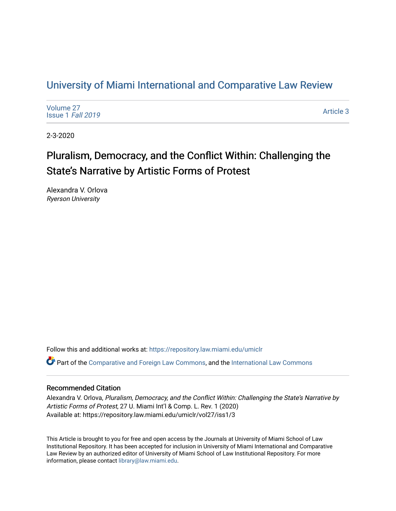# [University of Miami International and Comparative Law Review](https://repository.law.miami.edu/umiclr)

| Volume 27<br>Issue 1 Fall 2019 | Article 3 |
|--------------------------------|-----------|
|--------------------------------|-----------|

2-3-2020

# Pluralism, Democracy, and the Conflict Within: Challenging the State's Narrative by Artistic Forms of Protest

Alexandra V. Orlova Ryerson University

Follow this and additional works at: [https://repository.law.miami.edu/umiclr](https://repository.law.miami.edu/umiclr?utm_source=repository.law.miami.edu%2Fumiclr%2Fvol27%2Fiss1%2F3&utm_medium=PDF&utm_campaign=PDFCoverPages)

Part of the [Comparative and Foreign Law Commons,](http://network.bepress.com/hgg/discipline/836?utm_source=repository.law.miami.edu%2Fumiclr%2Fvol27%2Fiss1%2F3&utm_medium=PDF&utm_campaign=PDFCoverPages) and the [International Law Commons](http://network.bepress.com/hgg/discipline/609?utm_source=repository.law.miami.edu%2Fumiclr%2Fvol27%2Fiss1%2F3&utm_medium=PDF&utm_campaign=PDFCoverPages)

## Recommended Citation

Alexandra V. Orlova, Pluralism, Democracy, and the Conflict Within: Challenging the State's Narrative by Artistic Forms of Protest, 27 U. Miami Int'l & Comp. L. Rev. 1 (2020) Available at: https://repository.law.miami.edu/umiclr/vol27/iss1/3

This Article is brought to you for free and open access by the Journals at University of Miami School of Law Institutional Repository. It has been accepted for inclusion in University of Miami International and Comparative Law Review by an authorized editor of University of Miami School of Law Institutional Repository. For more information, please contact [library@law.miami.edu](mailto:library@law.miami.edu).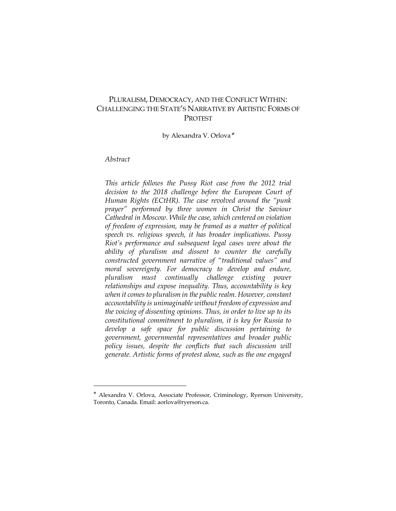# PLURALISM, DEMOCRACY, AND THE CONFLICT WITHIN: CHALLENGING THE STATE'S NARRATIVE BY ARTISTIC FORMS OF PROTEST

by Alexandra V. Orlova\*

# *Abstract*

*This article follows the Pussy Riot case from the 2012 trial decision to the 2018 challenge before the European Court of Human Rights (ECtHR). The case revolved around the "punk prayer" performed by three women in Christ the Saviour Cathedral in Moscow. While the case, which centered on violation of freedom of expression, may be framed as a matter of political speech vs. religious speech, it has broader implications. Pussy Riot's performance and subsequent legal cases were about the ability of pluralism and dissent to counter the carefully constructed government narrative of "traditional values" and moral sovereignty. For democracy to develop and endure, pluralism must continually challenge existing power relationships and expose inequality. Thus, accountability is key when it comes to pluralism in the public realm. However, constant accountability is unimaginable without freedom of expression and the voicing of dissenting opinions. Thus, in order to live up to its constitutional commitment to pluralism, it is key for Russia to develop a safe space for public discussion pertaining to government, governmental representatives and broader public policy issues, despite the conflicts that such discussion will generate. Artistic forms of protest alone, such as the one engaged* 

<sup>\*</sup> Alexandra V. Orlova, Associate Professor, Criminology, Ryerson University, Toronto, Canada. Email: aorlova@ryerson.ca.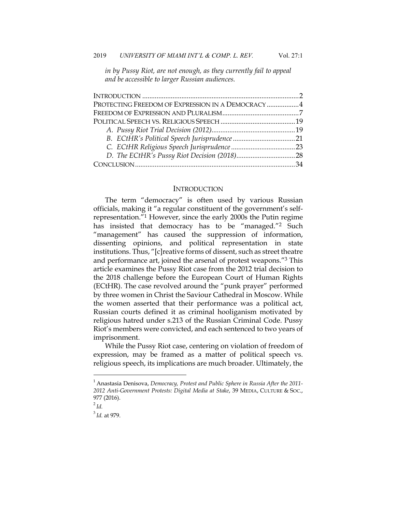*in by Pussy Riot, are not enough, as they currently fail to appeal and be accessible to larger Russian audiences.*

| PROTECTING FREEDOM OF EXPRESSION IN A DEMOCRACY  4 |  |
|----------------------------------------------------|--|
|                                                    |  |
|                                                    |  |
|                                                    |  |
|                                                    |  |
|                                                    |  |
|                                                    |  |
|                                                    |  |
|                                                    |  |

#### **INTRODUCTION**

The term "democracy" is often used by various Russian officials, making it "a regular constituent of the government's selfrepresentation."1 However, since the early 2000s the Putin regime has insisted that democracy has to be "managed."<sup>2</sup> Such "management" has caused the suppression of information, dissenting opinions, and political representation in state institutions. Thus, "[c]reative forms of dissent, such as street theatre and performance art, joined the arsenal of protest weapons."3 This article examines the Pussy Riot case from the 2012 trial decision to the 2018 challenge before the European Court of Human Rights (ECtHR). The case revolved around the "punk prayer" performed by three women in Christ the Saviour Cathedral in Moscow. While the women asserted that their performance was a political act, Russian courts defined it as criminal hooliganism motivated by religious hatred under s.213 of the Russian Criminal Code. Pussy Riot's members were convicted, and each sentenced to two years of imprisonment.

While the Pussy Riot case, centering on violation of freedom of expression, may be framed as a matter of political speech vs. religious speech, its implications are much broader. Ultimately, the

<sup>1</sup> Anastasia Denisova, *Democracy, Protest and Public Sphere in Russia After the 2011- 2012 Anti-Government Protests: Digital Media at Stake*, 39 MEDIA, CULTURE & SOC., 977 (2016).

<sup>2</sup> *Id.*

<sup>3</sup> *Id.* at 979.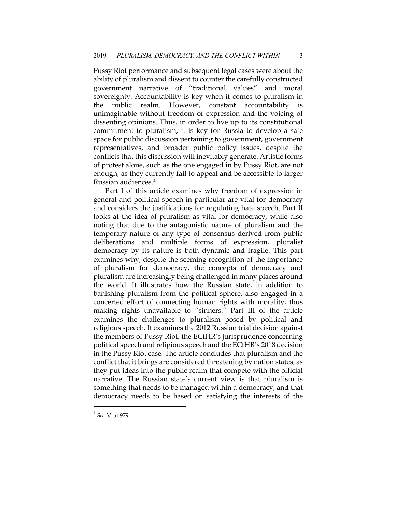Pussy Riot performance and subsequent legal cases were about the ability of pluralism and dissent to counter the carefully constructed government narrative of "traditional values" and moral sovereignty. Accountability is key when it comes to pluralism in the public realm. However, constant accountability unimaginable without freedom of expression and the voicing of dissenting opinions. Thus, in order to live up to its constitutional commitment to pluralism, it is key for Russia to develop a safe space for public discussion pertaining to government, government representatives, and broader public policy issues, despite the conflicts that this discussion will inevitably generate. Artistic forms of protest alone, such as the one engaged in by Pussy Riot, are not enough, as they currently fail to appeal and be accessible to larger Russian audiences.4

Part I of this article examines why freedom of expression in general and political speech in particular are vital for democracy and considers the justifications for regulating hate speech. Part II looks at the idea of pluralism as vital for democracy, while also noting that due to the antagonistic nature of pluralism and the temporary nature of any type of consensus derived from public deliberations and multiple forms of expression, pluralist democracy by its nature is both dynamic and fragile. This part examines why, despite the seeming recognition of the importance of pluralism for democracy, the concepts of democracy and pluralism are increasingly being challenged in many places around the world. It illustrates how the Russian state, in addition to banishing pluralism from the political sphere, also engaged in a concerted effort of connecting human rights with morality, thus making rights unavailable to "sinners." Part III of the article examines the challenges to pluralism posed by political and religious speech. It examines the 2012 Russian trial decision against the members of Pussy Riot, the ECtHR's jurisprudence concerning political speech and religious speech and the ECtHR's 2018 decision in the Pussy Riot case. The article concludes that pluralism and the conflict that it brings are considered threatening by nation states, as they put ideas into the public realm that compete with the official narrative. The Russian state's current view is that pluralism is something that needs to be managed within a democracy, and that democracy needs to be based on satisfying the interests of the

<sup>4</sup> *See id.* at 979.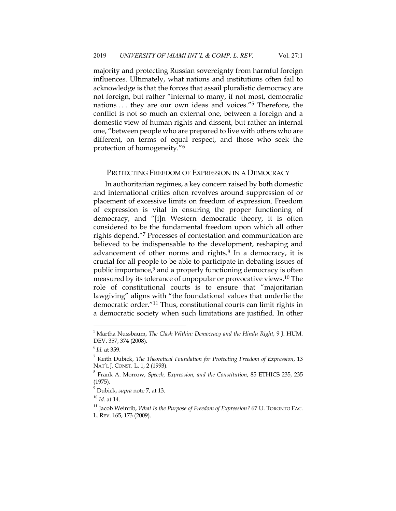majority and protecting Russian sovereignty from harmful foreign influences. Ultimately, what nations and institutions often fail to acknowledge is that the forces that assail pluralistic democracy are not foreign, but rather "internal to many, if not most, democratic nations . . . they are our own ideas and voices."5 Therefore, the conflict is not so much an external one, between a foreign and a domestic view of human rights and dissent, but rather an internal one, "between people who are prepared to live with others who are different, on terms of equal respect, and those who seek the protection of homogeneity."6

#### PROTECTING FREEDOM OF EXPRESSION IN A DEMOCRACY

In authoritarian regimes, a key concern raised by both domestic and international critics often revolves around suppression of or placement of excessive limits on freedom of expression. Freedom of expression is vital in ensuring the proper functioning of democracy, and "[i]n Western democratic theory, it is often considered to be the fundamental freedom upon which all other rights depend."7 Processes of contestation and communication are believed to be indispensable to the development, reshaping and advancement of other norms and rights.<sup>8</sup> In a democracy, it is crucial for all people to be able to participate in debating issues of public importance,9 and a properly functioning democracy is often measured by its tolerance of unpopular or provocative views.10 The role of constitutional courts is to ensure that "majoritarian lawgiving" aligns with "the foundational values that underlie the democratic order."11 Thus, constitutional courts can limit rights in a democratic society when such limitations are justified. In other

<sup>5</sup> Martha Nussbaum, *The Clash Within: Democracy and the Hindu Right*, 9 J. HUM. DEV. 357, 374 (2008).

<sup>6</sup> *Id.* at 359.

<sup>7</sup> Keith Dubick, *The Theoretical Foundation for Protecting Freedom of Expression*, 13 NAT'L J. CONST. L. 1, 2 (1993).

<sup>8</sup> Frank A. Morrow, *Speech, Expression, and the Constitution*, 85 ETHICS 235, 235 (1975).

<sup>9</sup> Dubick, *supra* note 7, at 13.

<sup>10</sup> *Id.* at 14.

<sup>&</sup>lt;sup>11</sup> Jacob Weinrib, *What Is the Purpose of Freedom of Expression?* 67 U. TORONTO FAC. L. REV. 165, 173 (2009).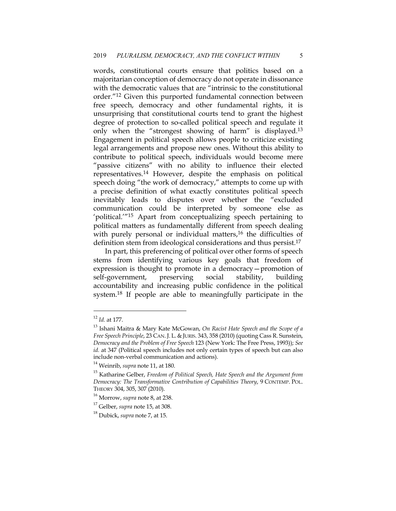words, constitutional courts ensure that politics based on a majoritarian conception of democracy do not operate in dissonance with the democratic values that are "intrinsic to the constitutional order."12 Given this purported fundamental connection between free speech, democracy and other fundamental rights, it is unsurprising that constitutional courts tend to grant the highest degree of protection to so-called political speech and regulate it only when the "strongest showing of harm" is displayed.<sup>13</sup> Engagement in political speech allows people to criticize existing legal arrangements and propose new ones. Without this ability to contribute to political speech, individuals would become mere "passive citizens" with no ability to influence their elected representatives.14 However, despite the emphasis on political speech doing "the work of democracy," attempts to come up with a precise definition of what exactly constitutes political speech inevitably leads to disputes over whether the "excluded communication could be interpreted by someone else as 'political.'"15 Apart from conceptualizing speech pertaining to political matters as fundamentally different from speech dealing with purely personal or individual matters,<sup>16</sup> the difficulties of definition stem from ideological considerations and thus persist.<sup>17</sup>

In part, this preferencing of political over other forms of speech stems from identifying various key goals that freedom of expression is thought to promote in a democracy—promotion of self-government, preserving social stability, building accountability and increasing public confidence in the political system.18 If people are able to meaningfully participate in the

<sup>12</sup> *Id.* at 177.

<sup>13</sup> Ishani Maitra & Mary Kate McGowan, *On Racist Hate Speech and the Scope of a Free Speech Principle, 23 CAN. J. L. & JURIS. 343, 358 (2010) (quoting Cass R. Sunstein, Democracy and the Problem of Free Speech* 123 (New York: The Free Press, 1993)); *See id.* at 347 (Political speech includes not only certain types of speech but can also include non-verbal communication and actions).

<sup>14</sup> Weinrib, *supra* note 11, at 180.

<sup>15</sup> Katharine Gelber, *Freedom of Political Speech, Hate Speech and the Argument from Democracy: The Transformative Contribution of Capabilities Theory*, 9 CONTEMP. POL. THEORY 304, 305, 307 (2010).

<sup>16</sup> Morrow, *supra* note 8, at 238.

<sup>17</sup> Gelber, *supra* note 15, at 308.

<sup>18</sup> Dubick, *supra* note 7, at 15.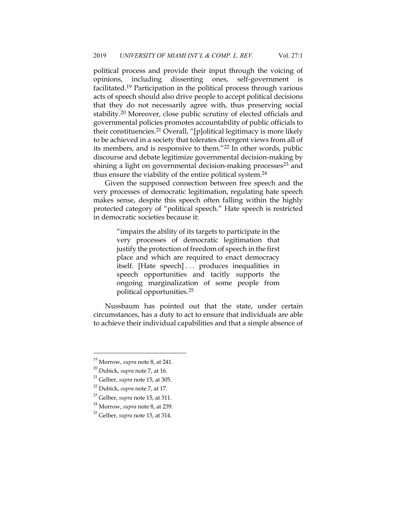political process and provide their input through the voicing of opinions, including dissenting ones, self-government is facilitated.19 Participation in the political process through various acts of speech should also drive people to accept political decisions that they do not necessarily agree with, thus preserving social stability.20 Moreover, close public scrutiny of elected officials and governmental policies promotes accountability of public officials to their constituencies.21 Overall, "[p]olitical legitimacy is more likely to be achieved in a society that tolerates divergent views from all of its members, and is responsive to them."22 In other words, public discourse and debate legitimize governmental decision-making by shining a light on governmental decision-making processes<sup>23</sup> and thus ensure the viability of the entire political system.24

Given the supposed connection between free speech and the very processes of democratic legitimation, regulating hate speech makes sense, despite this speech often falling within the highly protected category of "political speech." Hate speech is restricted in democratic societies because it:

> "impairs the ability of its targets to participate in the very processes of democratic legitimation that justify the protection of freedom of speech in the first place and which are required to enact democracy itself. [Hate speech] . . . produces inequalities in speech opportunities and tacitly supports the ongoing marginalization of some people from political opportunities.25

Nussbaum has pointed out that the state, under certain circumstances, has a duty to act to ensure that individuals are able to achieve their individual capabilities and that a simple absence of

<sup>19</sup> Morrow, *supra* note 8, at 241.

<sup>20</sup> Dubick, *supra* note 7, at 16.

<sup>21</sup> Gelber, *supra* note 15, at 305.

<sup>22</sup> Dubick, *supra* note 7, at 17.

<sup>23</sup> Gelber, *supra* note 15, at 311.

<sup>24</sup> Morrow, *supra* note 8, at 239.

<sup>25</sup> Gelber, *supra* note 15, at 314.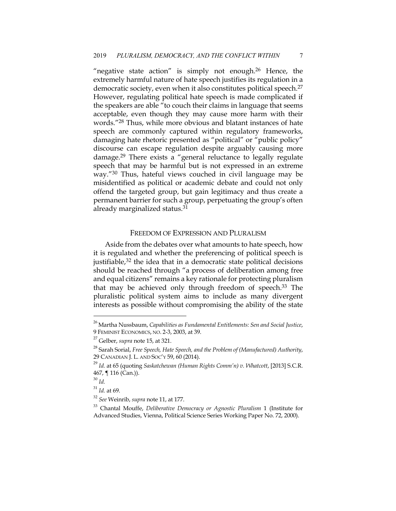"negative state action" is simply not enough.<sup>26</sup> Hence, the extremely harmful nature of hate speech justifies its regulation in a democratic society, even when it also constitutes political speech.<sup>27</sup> However, regulating political hate speech is made complicated if the speakers are able "to couch their claims in language that seems acceptable, even though they may cause more harm with their words."28 Thus, while more obvious and blatant instances of hate speech are commonly captured within regulatory frameworks, damaging hate rhetoric presented as "political" or "public policy" discourse can escape regulation despite arguably causing more damage.29 There exists a "general reluctance to legally regulate speech that may be harmful but is not expressed in an extreme way."30 Thus, hateful views couched in civil language may be misidentified as political or academic debate and could not only offend the targeted group, but gain legitimacy and thus create a permanent barrier for such a group, perpetuating the group's often already marginalized status.31

#### FREEDOM OF EXPRESSION AND PLURALISM

Aside from the debates over what amounts to hate speech, how it is regulated and whether the preferencing of political speech is justifiable, $32$  the idea that in a democratic state political decisions should be reached through "a process of deliberation among free and equal citizens" remains a key rationale for protecting pluralism that may be achieved only through freedom of speech.<sup>33</sup> The pluralistic political system aims to include as many divergent interests as possible without compromising the ability of the state

<sup>26</sup> Martha Nussbaum, *Capabilities as Fundamental Entitlements: Sen and Social Justice*, 9 FEMINIST ECONOMICS, NO. 2-3, 2003, at 39.

<sup>27</sup> Gelber, *supra* note 15, at 321.

<sup>28</sup> Sarah Sorial, *Free Speech, Hate Speech, and the Problem of (Manufactured) Authority*, 29 CANADIAN J. L. AND SOC'Y 59, 60 (2014).

<sup>29</sup> *Id.* at 65 (quoting *Saskatchewan (Human Rights Comm'n) v. Whatcott*, [2013] S.C.R. 467, ¶ 116 (Can.)).

<sup>30</sup> *Id.*

<sup>31</sup> *Id.* at 69.

<sup>32</sup> *See* Weinrib, *supra* note 11, at 177.

<sup>33</sup> Chantal Mouffe, *Deliberative Democracy or Agnostic Pluralism* 1 (Institute for Advanced Studies, Vienna, Political Science Series Working Paper No. 72, 2000).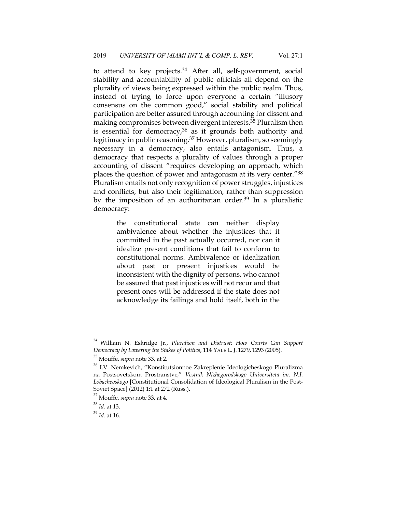to attend to key projects.<sup>34</sup> After all, self-government, social stability and accountability of public officials all depend on the plurality of views being expressed within the public realm. Thus, instead of trying to force upon everyone a certain "illusory consensus on the common good," social stability and political participation are better assured through accounting for dissent and making compromises between divergent interests.35 Pluralism then is essential for democracy, $36$  as it grounds both authority and legitimacy in public reasoning.<sup>37</sup> However, pluralism, so seemingly necessary in a democracy, also entails antagonism. Thus, a democracy that respects a plurality of values through a proper accounting of dissent "requires developing an approach, which places the question of power and antagonism at its very center."38 Pluralism entails not only recognition of power struggles, injustices and conflicts, but also their legitimation, rather than suppression by the imposition of an authoritarian order.<sup>39</sup> In a pluralistic democracy:

> the constitutional state can neither display ambivalence about whether the injustices that it committed in the past actually occurred, nor can it idealize present conditions that fail to conform to constitutional norms. Ambivalence or idealization about past or present injustices would be inconsistent with the dignity of persons, who cannot be assured that past injustices will not recur and that present ones will be addressed if the state does not acknowledge its failings and hold itself, both in the

<sup>34</sup> William N. Eskridge Jr., *Pluralism and Distrust: How Courts Can Support Democracy by Lowering the Stakes of Politics*, 114 YALE L. J. 1279, 1293 (2005).

<sup>35</sup> Mouffe, *supra* note 33, at 2.

<sup>36</sup> I.V. Nemkevich, "Konstitutsionnoe Zakreplenie Ideologicheskogo Pluralizma na Postsovetskom Prostranstve," *Vestnik Nizhegorodskogo Universiteta im. N.I. Lobachevskogo* [Constitutional Consolidation of Ideological Pluralism in the Post-Soviet Space] (2012) 1:1 at 272 (Russ.).

<sup>37</sup> Mouffe, *supra* note 33, at 4.

<sup>38</sup> *Id.* at 13.

<sup>39</sup> *Id.* at 16.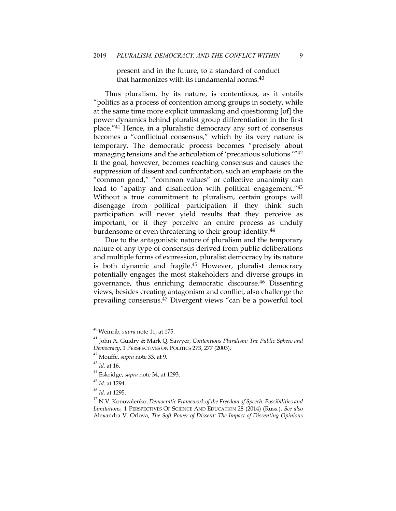present and in the future, to a standard of conduct that harmonizes with its fundamental norms.40

Thus pluralism, by its nature, is contentious, as it entails "politics as a process of contention among groups in society, while at the same time more explicit unmasking and questioning [of] the power dynamics behind pluralist group differentiation in the first place."41 Hence, in a pluralistic democracy any sort of consensus becomes a "conflictual consensus," which by its very nature is temporary. The democratic process becomes "precisely about managing tensions and the articulation of 'precarious solutions.'"42 If the goal, however, becomes reaching consensus and causes the suppression of dissent and confrontation, such an emphasis on the "common good," "common values" or collective unanimity can lead to "apathy and disaffection with political engagement."<sup>43</sup> Without a true commitment to pluralism, certain groups will disengage from political participation if they think such participation will never yield results that they perceive as important, or if they perceive an entire process as unduly burdensome or even threatening to their group identity.44

Due to the antagonistic nature of pluralism and the temporary nature of any type of consensus derived from public deliberations and multiple forms of expression, pluralist democracy by its nature is both dynamic and fragile.<sup>45</sup> However, pluralist democracy potentially engages the most stakeholders and diverse groups in governance, thus enriching democratic discourse.46 Dissenting views, besides creating antagonism and conflict, also challenge the prevailing consensus.47 Divergent views "can be a powerful tool

<sup>40</sup> Weinrib, *supra* note 11, at 175.

<sup>41</sup> John A. Guidry & Mark Q. Sawyer, *Contentious Pluralism: The Public Sphere and Democracy*, 1 PERSPECTIVES ON POLITICS 273, 277 (2003).

<sup>42</sup> Mouffe, *supra* note 33, at 9.

<sup>43</sup> *Id.* at 16.

<sup>44</sup> Eskridge, *supra* note 34, at 1293.

<sup>45</sup> *Id.* at 1294.

<sup>46</sup> *Id.* at 1295.

<sup>47</sup> N.V. Konovalenko, *Democratic Framework of the Freedom of Speech: Possibilities and Limitations,* 1 PERSPECTIVES OF SCIENCE AND EDUCATION 28 (2014) (Russ.). *See also*  Alexandra V. Orlova, *The Soft Power of Dissent: The Impact of Dissenting Opinions*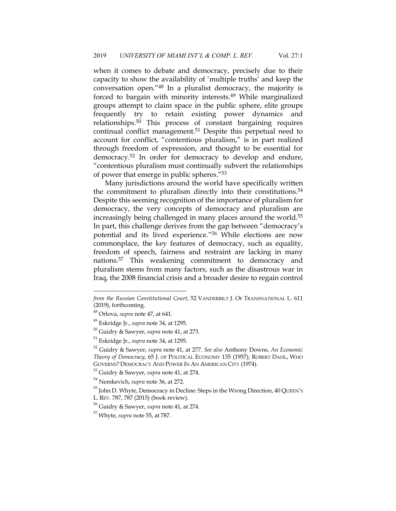when it comes to debate and democracy, precisely due to their capacity to show the availability of 'multiple truths' and keep the conversation open."48 In a pluralist democracy, the majority is forced to bargain with minority interests.49 While marginalized groups attempt to claim space in the public sphere, elite groups frequently try to retain existing power dynamics and relationships.50 This process of constant bargaining requires continual conflict management.<sup>51</sup> Despite this perpetual need to account for conflict, "contentious pluralism," is in part realized through freedom of expression, and thought to be essential for democracy.52 In order for democracy to develop and endure, "contentious pluralism must continually subvert the relationships of power that emerge in public spheres."53

Many jurisdictions around the world have specifically written the commitment to pluralism directly into their constitutions.<sup>54</sup> Despite this seeming recognition of the importance of pluralism for democracy, the very concepts of democracy and pluralism are increasingly being challenged in many places around the world.<sup>55</sup> In part, this challenge derives from the gap between "democracy's potential and its lived experience."56 While elections are now commonplace, the key features of democracy, such as equality, freedom of speech, fairness and restraint are lacking in many nations.57 This weakening commitment to democracy and pluralism stems from many factors, such as the disastrous war in Iraq, the 2008 financial crisis and a broader desire to regain control

*from the Russian Constitutional Court*, 52 VANDERBILT J. OF TRANSNATIONAL L. 611 (2019), forthcoming.

<sup>48</sup> Orlova, *supra* note 47, at 641.

<sup>49</sup> Eskridge Jr., *supra* note 34, at 1295.

<sup>50</sup> Guidry & Sawyer, *supra* note 41, at 273.

<sup>51</sup> Eskridge Jr., *supra* note 34, at 1295.

<sup>52</sup> Guidry & Sawyer, *supra* note 41, at 277. *See also* Anthony Downs, *An Economic Theory of Democracy*, 65 J. OF POLITICAL ECONOMY 135 (1957); ROBERT DAHL, WHO GOVERNS? DEMOCRACY AND POWER IN AN AMERICAN CITY (1974).

<sup>53</sup> Guidry & Sawyer, *supra* note 41, at 274. 54 Nemkevich, *supra* note 36, at 272.

<sup>&</sup>lt;sup>55</sup> John D. Whyte, Democracy in Decline: Steps in the Wrong Direction, 40 QUEEN's L. REV. 787, 787 (2015) (book review).

<sup>56</sup> Guidry & Sawyer, *supra* note 41, at 274.

<sup>57</sup> Whyte, *supra* note 55, at 787.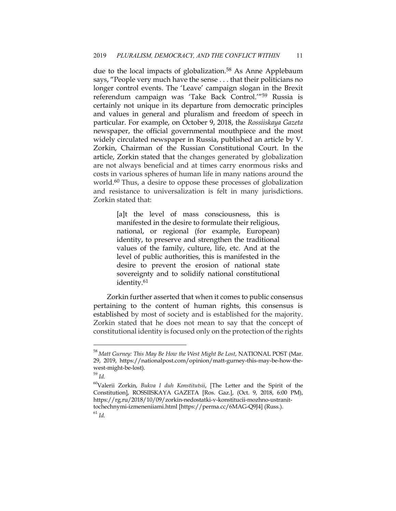due to the local impacts of globalization.<sup>58</sup> As Anne Applebaum says, "People very much have the sense . . . that their politicians no longer control events. The 'Leave' campaign slogan in the Brexit referendum campaign was 'Take Back Control.'"59 Russia is certainly not unique in its departure from democratic principles and values in general and pluralism and freedom of speech in particular. For example, on October 9, 2018, the *Rossiiskaya Gazeta* newspaper, the official governmental mouthpiece and the most widely circulated newspaper in Russia, published an article by V. Zorkin, Chairman of the Russian Constitutional Court. In the article, Zorkin stated that the changes generated by globalization are not always beneficial and at times carry enormous risks and costs in various spheres of human life in many nations around the world.<sup>60</sup> Thus, a desire to oppose these processes of globalization and resistance to universalization is felt in many jurisdictions. Zorkin stated that:

> [a]t the level of mass consciousness, this is manifested in the desire to formulate their religious, national, or regional (for example, European) identity, to preserve and strengthen the traditional values of the family, culture, life, etc. And at the level of public authorities, this is manifested in the desire to prevent the erosion of national state sovereignty and to solidify national constitutional identity.61

Zorkin further asserted that when it comes to public consensus pertaining to the content of human rights, this consensus is established by most of society and is established for the majority. Zorkin stated that he does not mean to say that the concept of constitutional identity is focused only on the protection of the rights

<sup>58</sup> *Matt Gurney: This May Be How the West Might Be Lost*, NATIONAL POST (Mar. 29, 2019, https://nationalpost.com/opinion/matt-gurney-this-may-be-how-thewest-might-be-lost).

<sup>59</sup> *Id.*

<sup>60</sup>Valerii Zorkin, *Bukva I duh Konstitutsii*, [The Letter and the Spirit of the Constitution], ROSSIISKAYA GAZETA [Ros. Gaz.], (Oct. 9, 2018, 6:00 PM), https://rg.ru/2018/10/09/zorkin-nedostatki-v-konstitucii-mozhno-ustranittochechnymi-izmeneniiami.html [https://perma.cc/6MAG-Q9J4] (Russ.).

<sup>61</sup> *Id.*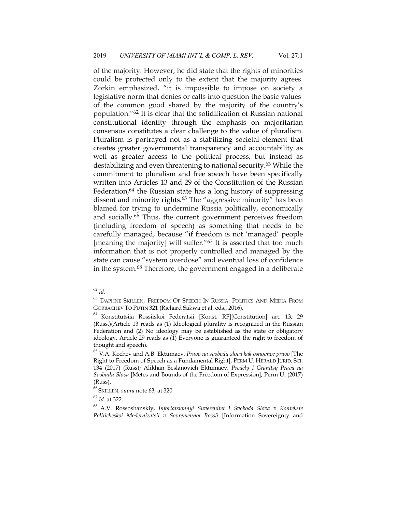of the majority. However, he did state that the rights of minorities could be protected only to the extent that the majority agrees. Zorkin emphasized, "it is impossible to impose on society a legislative norm that denies or calls into question the basic values of the common good shared by the majority of the country's population."62 It is clear that the solidification of Russian national constitutional identity through the emphasis on majoritarian consensus constitutes a clear challenge to the value of pluralism. Pluralism is portrayed not as a stabilizing societal element that creates greater governmental transparency and accountability as well as greater access to the political process, but instead as destabilizing and even threatening to national security.63 While the commitment to pluralism and free speech have been specifically written into Articles 13 and 29 of the Constitution of the Russian Federation,<sup>64</sup> the Russian state has a long history of suppressing dissent and minority rights.<sup>65</sup> The "aggressive minority" has been blamed for trying to undermine Russia politically, economically and socially.66 Thus, the current government perceives freedom (including freedom of speech) as something that needs to be carefully managed, because "if freedom is not 'managed' people [meaning the majority] will suffer."67 It is asserted that too much information that is not properly controlled and managed by the state can cause "system overdose" and eventual loss of confidence in the system.68 Therefore, the government engaged in a deliberate

<sup>62</sup> *Id.*

 $^{63}$  Daphne Skillen, Freedom Of Speech In Russia: Politics And Media From GORBACHEV TO PUTIN 321 (Richard Sakwa et al. eds., 2016).

<sup>64</sup> Konstitutsiia Rossiiskoi Federatsii [Konst. RF][Constitution] art. 13, 29 (Russ.)(Article 13 reads as (1) Ideological plurality is recognized in the Russian Federation and (2) No ideology may be established as the state or obligatory ideology. Article 29 reads as (1) Everyone is guaranteed the right to freedom of thought and speech).

<sup>65</sup> V.A. Kochev and A.B. Ektumaev, *Pravo na svobodu slova kak osnovnoe pravo* [The Right to Freedom of Speech as a Fundamental Right], PERM U. HERALD JURID. SCI. 134 (2017) (Russ); Alikhan Beslanovich Ektumaev, *Predely I Granitsy Prava na Svobudu Slova* [Metes and Bounds of the Freedom of Expression], Perm U. (2017) (Russ).

<sup>66</sup> SKILLEN, *supra* note 63, at 320

<sup>67</sup> *Id.* at 322.

<sup>68</sup> A.V. Rossoshanskiy, *Infortatsionnyi Suverenitet I Svoboda Slova v Kontekste Politicheskoi Modernizatsii v Sovremennoi Rossii* [Information Sovereignty and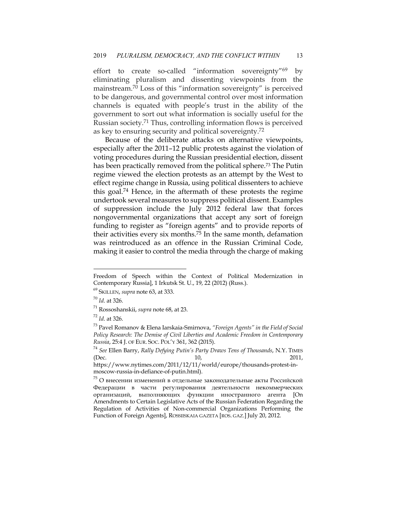effort to create so-called "information sovereignty"69 by eliminating pluralism and dissenting viewpoints from the mainstream.70 Loss of this "information sovereignty" is perceived to be dangerous, and governmental control over most information channels is equated with people's trust in the ability of the government to sort out what information is socially useful for the Russian society.71 Thus, controlling information flows is perceived as key to ensuring security and political sovereignty.72

Because of the deliberate attacks on alternative viewpoints, especially after the 2011–12 public protests against the violation of voting procedures during the Russian presidential election, dissent has been practically removed from the political sphere.<sup>73</sup> The Putin regime viewed the election protests as an attempt by the West to effect regime change in Russia, using political dissenters to achieve this goal.74 Hence, in the aftermath of these protests the regime undertook several measures to suppress political dissent. Examples of suppression include the July 2012 federal law that forces nongovernmental organizations that accept any sort of foreign funding to register as "foreign agents" and to provide reports of their activities every six months.<sup>75</sup> In the same month, defamation was reintroduced as an offence in the Russian Criminal Code, making it easier to control the media through the charge of making

Freedom of Speech within the Context of Political Modernization in Contemporary Russia], 1 Irkutsk St. U., 19, 22 (2012) (Russ.).

<sup>69</sup> SKILLEN, *supra* note 63, at 333.

<sup>70</sup> *Id*. at 326.

<sup>71</sup> Rossoshanskii, *supra* note 68, at 23.

<sup>72</sup> *Id*. at 326.

<sup>73</sup> Pavel Romanov & Elena Iarskaia-Smirnova, *"Foreign Agents" in the Field of Social Policy Research: The Demise of Civil Liberties and Academic Freedom in Contemporary Russia*, 25:4 J. OF EUR. SOC. POL'Y 361, 362 (2015).

<sup>74</sup> *See* Ellen Barry, *Rally Defying Putin's Party Draws Tens of Thousands*, N.Y. TIMES (Dec. 2011,

https://www.nytimes.com/2011/12/11/world/europe/thousands-protest-inmoscow-russia-in-defiance-of-putin.html).

 $^{75}$  О внесении изменений в отдельные законодательные акты Российской Федерации в части регулирования деятельности некоммерческих организаций, выполняющих функции иностранного агента [On Amendments to Certain Legislative Acts of the Russian Federation Regarding the Regulation of Activities of Non-commercial Organizations Performing the Function of Foreign Agents], ROSSIISKAIA GAZETA [ROS. GAZ.] July 20, 2012.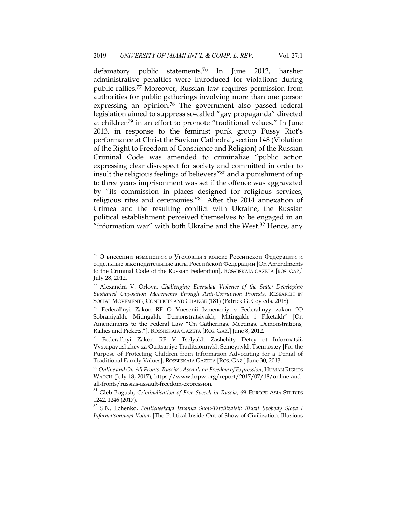defamatory public statements.76 In June 2012, harsher administrative penalties were introduced for violations during public rallies.77 Moreover, Russian law requires permission from authorities for public gatherings involving more than one person expressing an opinion.<sup>78</sup> The government also passed federal legislation aimed to suppress so-called "gay propaganda" directed at children<sup>79</sup> in an effort to promote "traditional values." In June 2013, in response to the feminist punk group Pussy Riot's performance at Christ the Saviour Cathedral, section 148 (Violation of the Right to Freedom of Conscience and Religion) of the Russian Criminal Code was amended to criminalize "public action expressing clear disrespect for society and committed in order to insult the religious feelings of believers"80 and a punishment of up to three years imprisonment was set if the offence was aggravated by "its commission in places designed for religious services, religious rites and ceremonies."81 After the 2014 annexation of Crimea and the resulting conflict with Ukraine, the Russian political establishment perceived themselves to be engaged in an "information war" with both Ukraine and the West. $82$  Hence, any

 $^{76}$  О внесении изменений в Уголовный кодекс Российской Федерации и отдельные законодательные акты Российской Федерации [On Amendments to the Criminal Code of the Russian Federation], ROSSIISKAIA GAZETA [ROS. GAZ,] July 28, 2012.

<sup>77</sup> Alexandra V. Orlova, *Challenging Everyday Violence of the State: Developing Sustained Opposition Movements through Anti-Corruption Protests*, RESEARCH IN SOCIAL MOVEMENTS, CONFLICTS AND CHANGE (181) (Patrick G. Coy eds. 2018).

<sup>78</sup> Federal'nyi Zakon RF O Vnesenii Izmeneniy v Federal'nyy zakon "O Sobraniyakh, Mitingakh, Demonstratsiyakh, Mitingakh i Piketakh" [On Amendments to the Federal Law "On Gatherings, Meetings, Demonstrations, Rallies and Pickets."], ROSSIISKAIA GAZETA [ROS. GAZ.] June 8, 2012.

<sup>79</sup> Federal'nyi Zakon RF V Tselyakh Zashchity Detey ot Informatsii, Vystupayushchey za Otritsaniye Traditsionnykh Semeynykh Tsennostey [For the Purpose of Protecting Children from Information Advocating for a Denial of Traditional Family Values], ROSSIISKAIA GAZETA [ROS. GAZ.] June 30, 2013.

<sup>80</sup> *Online and On All Fronts: Russia's Assault on Freedom of Expression*, HUMAN RIGHTS WATCH (July 18, 2017), https://www.hrpw.org/report/2017/07/18/online-andall-fronts/russias-assault-freedom-expression.

<sup>81</sup> Gleb Bogush, *Criminalisation of Free Speech in Russia*, 69 EUROPE-ASIA STUDIES 1242, 1246 (2017).

<sup>82</sup> S.N. Ilchenko, *Politicheskaya Iznanka Shou-Tsivilizatsii: Illuzii Svobody Slova I Informatsonnaya Voina*, [The Political Inside Out of Show of Civilization: Illusions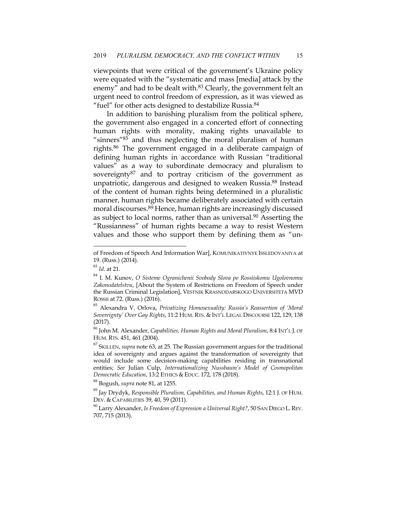viewpoints that were critical of the government's Ukraine policy were equated with the "systematic and mass [media] attack by the enemy" and had to be dealt with.<sup>83</sup> Clearly, the government felt an urgent need to control freedom of expression, as it was viewed as "fuel" for other acts designed to destabilize Russia.<sup>84</sup>

In addition to banishing pluralism from the political sphere, the government also engaged in a concerted effort of connecting human rights with morality, making rights unavailable to "sinners"85 and thus neglecting the moral pluralism of human rights.86 The government engaged in a deliberate campaign of defining human rights in accordance with Russian "traditional values" as a way to subordinate democracy and pluralism to sovereignty<sup>87</sup> and to portray criticism of the government as unpatriotic, dangerous and designed to weaken Russia.88 Instead of the content of human rights being determined in a pluralistic manner, human rights became deliberately associated with certain moral discourses.89 Hence, human rights are increasingly discussed as subject to local norms, rather than as universal.<sup>90</sup> Asserting the "Russianness" of human rights became a way to resist Western values and those who support them by defining them as "un-

of Freedom of Speech And Information War], KOMUNIKATIVNYE ISSLEDOVANIYA at 19. (Russ.) (2014).

<sup>83</sup> *Id*. at 21.

<sup>84</sup> I. M. Kunov, *O Sisteme Ogranichenii Svobody Slova po Rossiiskomu Ugolovnomu Zakonodatelstvu*, [About the System of Restrictions on Freedom of Speech under the Russian Criminal Legislation], VESTNIK KRASNODARSKOGO UNIVERSITETA MVD ROSSII at 72. (Russ.) (2016).

<sup>85</sup> Alexandra V. Orlova, *Privatizing Homosexuality: Russia's Reassertion of 'Moral Sovereignty' Over Gay Rights*, 11:2 HUM. RTS. & INT'L LEGAL DISCOURSE 122, 129, 138 (2017).

<sup>86</sup> John M. Alexander, *Capabilities, Human Rights and Moral Pluralism*, 8:4 INT'L J. OF HUM. RTS. 451, 461 (2004).

<sup>87</sup> SKILLEN, *supra* note 63, at 25. The Russian government argues for the traditional idea of sovereignty and argues against the transformation of sovereignty that would include some decision-making capabilities residing in transnational entities; *See* Julian Culp, *Internationalizing Nussbaum's Model of Cosmopolitan Democratic Education*, 13:2 ETHICS & EDUC. 172, 178 (2018).

<sup>88</sup> Bogush, *supra* note 81, at 1255.

<sup>89</sup> Jay Drydyk, *Responsible Pluralism, Capabilities, and Human Rights*, 12:1 J. OF HUM. DEV. & CAPABILITIES 39, 40, 59 (2011).

<sup>90</sup> Larry Alexander, *Is Freedom of Expression a Universal Right?*, 50 SAN DIEGO L.REV. 707, 715 (2013).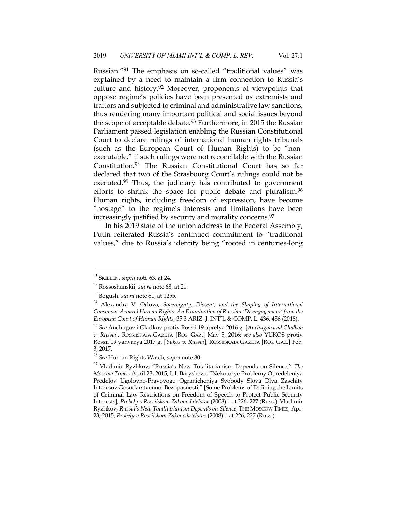Russian."91 The emphasis on so-called "traditional values" was explained by a need to maintain a firm connection to Russia's culture and history.92 Moreover, proponents of viewpoints that oppose regime's policies have been presented as extremists and traitors and subjected to criminal and administrative law sanctions, thus rendering many important political and social issues beyond the scope of acceptable debate.<sup>93</sup> Furthermore, in 2015 the Russian Parliament passed legislation enabling the Russian Constitutional Court to declare rulings of international human rights tribunals (such as the European Court of Human Rights) to be "nonexecutable," if such rulings were not reconcilable with the Russian Constitution.94 The Russian Constitutional Court has so far declared that two of the Strasbourg Court's rulings could not be executed.<sup>95</sup> Thus, the judiciary has contributed to government efforts to shrink the space for public debate and pluralism.<sup>96</sup> Human rights, including freedom of expression, have become "hostage" to the regime's interests and limitations have been increasingly justified by security and morality concerns.<sup>97</sup>

In his 2019 state of the union address to the Federal Assembly, Putin reiterated Russia's continued commitment to "traditional values," due to Russia's identity being "rooted in centuries-long

<sup>91</sup> SKILLEN, *supra* note 63, at 24.

<sup>92</sup> Rossoshanskii, *supra* note 68, at 21.

<sup>93</sup> Bogush, *supra* note 81, at 1255.

<sup>94</sup> Alexandra V. Orlova, *Sovereignty, Dissent, and the Shaping of International Consensus Around Human Rights: An Examination of Russian 'Disengagement' from the European Court of Human Rights*, 35:3 ARIZ. J. INT'L & COMP. L. 436, 456 (2018).

<sup>95</sup> *See* Anchugov i Gladkov protiv Rossii 19 aprelya 2016 g. [*Anchugov and Gladkov v. Russia*], ROSSIISKAIA GAZETA [ROS. GAZ.] May 5, 2016; *see also* YUKOS protiv Rossii 19 yanvarya 2017 g. [*Yukos v. Russia*], ROSSIISKAIA GAZETA [ROS. GAZ.] Feb. 3, 2017.

<sup>96</sup> *See* Human Rights Watch, *supra* note 80.

<sup>97</sup> Vladimir Ryzhkov, "Russia's New Totalitarianism Depends on Silence," *The Moscow Times*, April 23, 2015; I. I. Barysheva, "Nekotorye Problemy Opredeleniya Predelov Ugolovno-Pravovogo Ogranicheniya Svobody Slova Dlya Zaschity Interesov Gosudarstvennoi Bezopasnosti," [Some Problems of Defining the Limits of Criminal Law Restrictions on Freedom of Speech to Protect Public Security Interests], *Probely v Rossiiskom Zakonodatelstve* (2008) 1 at 226, 227 (Russ.). Vladimir Ryzhkov, *Russia's New Totalitarianism Depends on Silence*, THE MOSCOW TIMES, Apr. 23, 2015; *Probely v Rossiiskom Zakonodatelstve* (2008) 1 at 226, 227 (Russ.).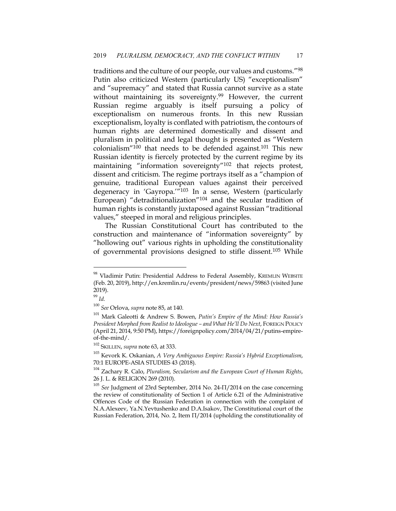traditions and the culture of our people, our values and customs."98 Putin also criticized Western (particularly US) "exceptionalism" and "supremacy" and stated that Russia cannot survive as a state without maintaining its sovereignty.<sup>99</sup> However, the current Russian regime arguably is itself pursuing a policy of exceptionalism on numerous fronts. In this new Russian exceptionalism, loyalty is conflated with patriotism, the contours of human rights are determined domestically and dissent and pluralism in political and legal thought is presented as "Western colonialism"<sup>100</sup> that needs to be defended against.<sup>101</sup> This new Russian identity is fiercely protected by the current regime by its maintaining "information sovereignty"102 that rejects protest, dissent and criticism. The regime portrays itself as a "champion of genuine, traditional European values against their perceived degeneracy in 'Gayropa.'"103 In a sense, Western (particularly European) "detraditionalization"104 and the secular tradition of human rights is constantly juxtaposed against Russian "traditional values," steeped in moral and religious principles.

The Russian Constitutional Court has contributed to the construction and maintenance of "information sovereignty" by "hollowing out" various rights in upholding the constitutionality of governmental provisions designed to stifle dissent.105 While

<sup>&</sup>lt;sup>98</sup> Vladimir Putin: Presidential Address to Federal Assembly, KREMLIN WEBSITE (Feb. 20, 2019), http://en.kremlin.ru/events/president/news/59863 (visited June 2019).

<sup>99</sup> *Id.*

<sup>100</sup> *See* Orlova, *supra* note 85, at 140.

<sup>101</sup> Mark Galeotti & Andrew S. Bowen, *Putin's Empire of the Mind: How Russia's President Morphed from Realist to Ideologue – and What He'll Do Next*, FOREIGN POLICY (April 21, 2014, 9:50 PM), https://foreignpolicy.com/2014/04/21/putins-empireof-the-mind/.

<sup>102</sup> SKILLEN, *supra* note 63, at 333.

<sup>103</sup> Kevork K. Oskanian, *A Very Ambiguous Empire: Russia's Hybrid Exceptionalism*, 70:1 EUROPE-ASIA STUDIES 43 (2018).

<sup>104</sup> Zachary R. Calo, *Pluralism, Secularism and the European Court of Human Rights*, 26 J. L. & RELIGION 269 (2010).

<sup>105</sup> *See* Judgment of 23rd September, 2014 No. 24-П/2014 on the case concerning the review of constitutionality of Section 1 of Article 6.21 of the Administrative Offences Code of the Russian Federation in connection with the complaint of N.A.Alexeev, Ya.N.Yevtushenko and D.A.Isakov, The Constitutional court of the Russian Federation, 2014, No. 2, Item П/2014 (upholding the constitutionality of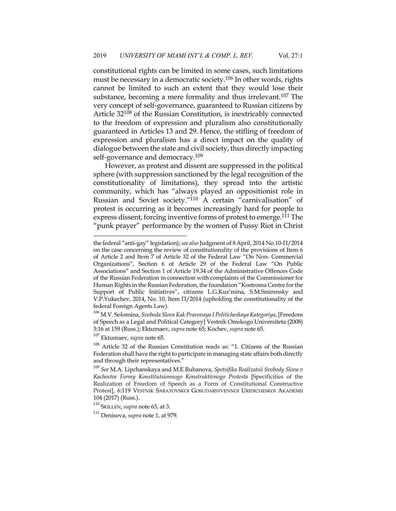constitutional rights can be limited in some cases, such limitations must be necessary in a democratic society.106 In other words, rights cannot be limited to such an extent that they would lose their substance, becoming a mere formality and thus irrelevant.<sup>107</sup> The very concept of self-governance, guaranteed to Russian citizens by Article 32108 of the Russian Constitution, is inextricably connected to the freedom of expression and pluralism also constitutionally guaranteed in Articles 13 and 29. Hence, the stifling of freedom of expression and pluralism has a direct impact on the quality of dialogue between the state and civil society, thus directly impacting self-governance and democracy.<sup>109</sup>

However, as protest and dissent are suppressed in the political sphere (with suppression sanctioned by the legal recognition of the constitutionality of limitations), they spread into the artistic community, which has "always played an oppositionist role in Russian and Soviet society."110 A certain "carnivalisation" of protest is occurring as it becomes increasingly hard for people to express dissent, forcing inventive forms of protest to emerge.111 The "punk prayer" performance by the women of Pussy Riot in Christ

<sup>107</sup> Ektumaev, *supra* note 65.

the federal "anti-gay" legislation); *see also* Judgment of 8April, 2014 No.10-П/2014 on the case concerning the review of constitutionality of the provisions of Item 6 of Article 2 and Item 7 of Article 32 of the Federal Law "On Non- Commercial Organizations", Section 6 of Article 29 of the Federal Law "On Public Associations" and Section 1 of Article 19.34 of the Administrative Offences Code of the Russian Federation in connection with complaints of the Commissioner for Human Rights in the Russian Federation, the foundation "Kostroma Centre for the Support of Public Initiatives", citizens L.G.Kuz'mina, S.M.Smirensky and V.P.Yukechev, 2014, No. 10, Item П/2014 (upholding the constitutionality of the federal Foreign Agents Law).

<sup>106</sup> M.V. Solomina, *Svoboda Slova Kak Pravovaya I Politicheskaya Kategoriya*, [Freedom of Speech as a Legal and Political Category] Vestnik Omskogo Universiteta (2008) 3:16 at 159 (Russ.); Ektumaev, *supra* note 65; Kochev, *supra* note 65.

<sup>108</sup> Article 32 of the Russian Constitution reads as: "1. Citizens of the Russian Federation shall have the right to participate in managing state affairs both directly and through their representatives."

<sup>109</sup> *See* M.A. Lipchanskaya and M.E Rubanova, *Spetsifika Realizatsii Svobody Slova v Kachestve Formy Konstitutsionnogo Konstruktivnogo Protesta* [Specificities of the Realization of Freedom of Speech as a Form of Constitutional Constructive Protest], 6:119 VESTNIK SARATOVSKOI GOSUDARSTVENNOI URIDICHESKOI AKADEMII 104 (2017) (Russ.).

<sup>110</sup> SKILLEN, *supra* note 63, at 3.

<sup>111</sup> Denisova, *supra* note 1, at 979.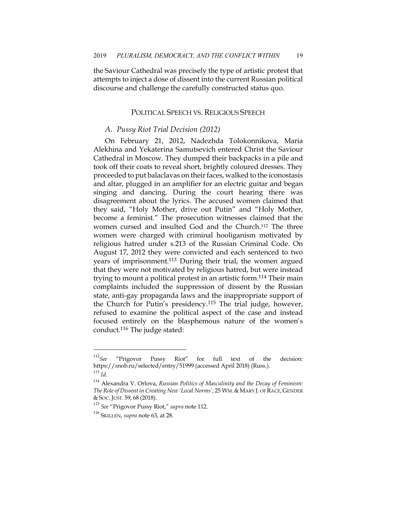the Saviour Cathedral was precisely the type of artistic protest that attempts to inject a dose of dissent into the current Russian political discourse and challenge the carefully constructed status quo.

#### POLITICAL SPEECH VS. RELIGIOUS SPEECH

#### *A. Pussy Riot Trial Decision (2012)*

On February 21, 2012, Nadezhda Tolokonnikova, Maria Alekhina and Yekaterina Samutsevich entered Christ the Saviour Cathedral in Moscow. They dumped their backpacks in a pile and took off their coats to reveal short, brightly coloured dresses. They proceeded to put balaclavas on their faces, walked to the iconostasis and altar, plugged in an amplifier for an electric guitar and began singing and dancing. During the court hearing there was disagreement about the lyrics. The accused women claimed that they said, "Holy Mother, drive out Putin" and "Holy Mother, become a feminist." The prosecution witnesses claimed that the women cursed and insulted God and the Church.112 The three women were charged with criminal hooliganism motivated by religious hatred under s.213 of the Russian Criminal Code. On August 17, 2012 they were convicted and each sentenced to two years of imprisonment.<sup>113</sup> During their trial, the women argued that they were not motivated by religious hatred, but were instead trying to mount a political protest in an artistic form.114 Their main complaints included the suppression of dissent by the Russian state, anti-gay propaganda laws and the inappropriate support of the Church for Putin's presidency.115 The trial judge, however, refused to examine the political aspect of the case and instead focused entirely on the blasphemous nature of the women's conduct.116 The judge stated:

<sup>112</sup>*See* "Prigovor Pussy Riot" for full text of the decision: https://snob.ru/selected/entry/51999 (accessed April 2018) (Russ.). <sup>113</sup> *Id*.

<sup>114</sup> Alexandra V. Orlova, *Russian Politics of Masculinity and the Decay of Feminism:*  The Role of Dissent in Creating New 'Local Norms', 25 WM. & MARY J. OF RACE, GENDER & SOC. JUST. 59, 68 (2018).

<sup>115</sup> *See* "Prigovor Pussy Riot," *supra* note 112.

<sup>116</sup> SKILLEN, *supra* note 63, at 28.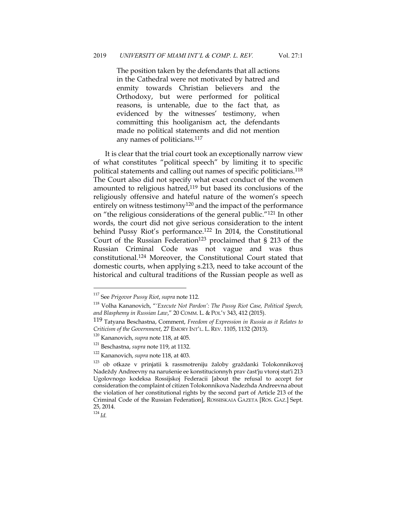The position taken by the defendants that all actions in the Cathedral were not motivated by hatred and enmity towards Christian believers and the Orthodoxy, but were performed for political reasons, is untenable, due to the fact that, as evidenced by the witnesses' testimony, when committing this hooliganism act, the defendants made no political statements and did not mention any names of politicians.117

It is clear that the trial court took an exceptionally narrow view of what constitutes "political speech" by limiting it to specific political statements and calling out names of specific politicians.<sup>118</sup> The Court also did not specify what exact conduct of the women amounted to religious hatred,<sup>119</sup> but based its conclusions of the religiously offensive and hateful nature of the women's speech entirely on witness testimony<sup>120</sup> and the impact of the performance on "the religious considerations of the general public."121 In other words, the court did not give serious consideration to the intent behind Pussy Riot's performance.122 In 2014, the Constitutional Court of the Russian Federation<sup>123</sup> proclaimed that  $\S$  213 of the Russian Criminal Code was not vague and was thus constitutional.124 Moreover, the Constitutional Court stated that domestic courts, when applying s.213, need to take account of the historical and cultural traditions of the Russian people as well as

<sup>124</sup> *Id.*

<sup>117</sup> See *Prigovor Pussy Riot*, *supra* note 112.

<sup>118</sup> Volha Kananovich, "*'Execute Not Pardon': The Pussy Riot Case, Political Speech, and Blasphemy in Russian Law*," 20 COMM. L. & POL'Y 343, 412 (2015).

<sup>119</sup> Tatyana Beschastna, Comment, *Freedom of Expression in Russia as it Relates to Criticism of the Government*, 27 EMORY INT'L. L. REV. 1105, 1132 (2013).

<sup>120</sup> Kananovich, *supra* note 118, at 405.

<sup>121</sup> Beschastna, *supra* note 119, at 1132.

<sup>122</sup> Kananovich, *supra* note 118, at 403.

<sup>123</sup> ob otkaze v prinjatii k rassmotreniju žaloby graždanki Tolokonnikovoj Nadeždy Andreevny na narušenie ee konstitucionnyh prav častʹju vtoroj statʹi 213 Ugolovnogo kodeksa Rossijskoj Federacii [about the refusal to accept for consideration the complaint of citizen Tolokonnikova Nadezhda Andreevna about the violation of her constitutional rights by the second part of Article 213 of the Criminal Code of the Russian Federation], ROSSIISKAIA GAZETA [ROS. GAZ.] Sept. 25, 2014.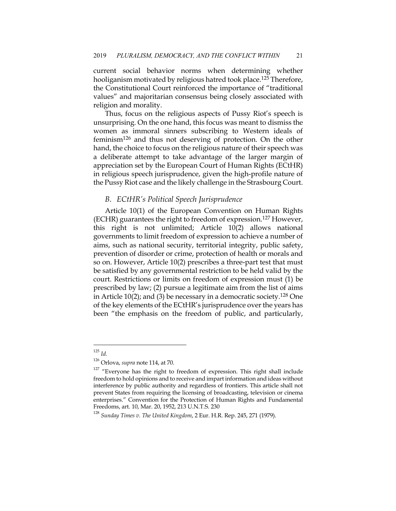current social behavior norms when determining whether hooliganism motivated by religious hatred took place.<sup>125</sup> Therefore, the Constitutional Court reinforced the importance of "traditional values" and majoritarian consensus being closely associated with religion and morality.

Thus, focus on the religious aspects of Pussy Riot's speech is unsurprising. On the one hand, this focus was meant to dismiss the women as immoral sinners subscribing to Western ideals of feminism126 and thus not deserving of protection. On the other hand, the choice to focus on the religious nature of their speech was a deliberate attempt to take advantage of the larger margin of appreciation set by the European Court of Human Rights (ECtHR) in religious speech jurisprudence, given the high-profile nature of the Pussy Riot case and the likely challenge in the Strasbourg Court.

### *B. ECtHR's Political Speech Jurisprudence*

Article 10(1) of the European Convention on Human Rights (ECHR) guarantees the right to freedom of expression.127 However, this right is not unlimited; Article 10(2) allows national governments to limit freedom of expression to achieve a number of aims, such as national security, territorial integrity, public safety, prevention of disorder or crime, protection of health or morals and so on. However, Article 10(2) prescribes a three-part test that must be satisfied by any governmental restriction to be held valid by the court. Restrictions or limits on freedom of expression must (1) be prescribed by law; (2) pursue a legitimate aim from the list of aims in Article 10(2); and (3) be necessary in a democratic society.<sup>128</sup> One of the key elements of the ECtHR's jurisprudence over the years has been "the emphasis on the freedom of public, and particularly,

<sup>125</sup> *Id.*

<sup>126</sup> Orlova, *supra* note 114, at 70.

 $127$  "Everyone has the right to freedom of expression. This right shall include freedom to hold opinions and to receive and impart information and ideas without interference by public authority and regardless of frontiers. This article shall not prevent States from requiring the licensing of broadcasting, television or cinema enterprises." Convention for the Protection of Human Rights and Fundamental Freedoms, art. 10, Mar. 20, 1952, 213 U.N.T.S. 230

<sup>128</sup> *Sunday Times v. The United Kingdom*, 2 Eur. H.R. Rep. 245, 271 (1979).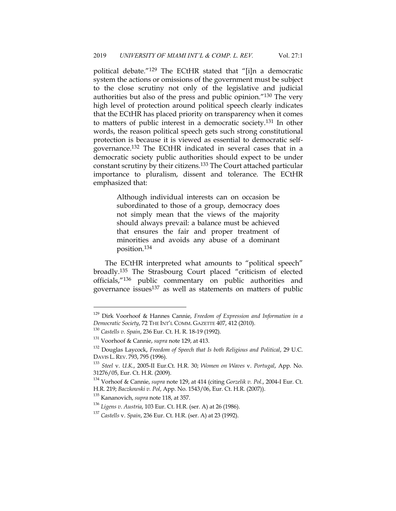political debate."129 The ECtHR stated that "[i]n a democratic system the actions or omissions of the government must be subject to the close scrutiny not only of the legislative and judicial authorities but also of the press and public opinion."130 The very high level of protection around political speech clearly indicates that the ECtHR has placed priority on transparency when it comes to matters of public interest in a democratic society.131 In other words, the reason political speech gets such strong constitutional protection is because it is viewed as essential to democratic selfgovernance.132 The ECtHR indicated in several cases that in a democratic society public authorities should expect to be under constant scrutiny by their citizens.133 The Court attached particular importance to pluralism, dissent and tolerance. The ECtHR emphasized that:

> Although individual interests can on occasion be subordinated to those of a group, democracy does not simply mean that the views of the majority should always prevail: a balance must be achieved that ensures the fair and proper treatment of minorities and avoids any abuse of a dominant position.134

The ECtHR interpreted what amounts to "political speech" broadly.135 The Strasbourg Court placed "criticism of elected officials,"136 public commentary on public authorities and governance issues137 as well as statements on matters of public

<sup>129</sup> Dirk Voorhoof & Hannes Cannie, *Freedom of Expression and Information in a Democratic Society*, 72 THE INT'L COMM. GAZETTE 407, 412 (2010).

<sup>130</sup> *Castells v. Spain*, 236 Eur. Ct. H. R. 18-19 (1992).

<sup>131</sup> Voorhoof & Cannie, *supra* note 129, at 413.

<sup>132</sup> Douglas Laycock, *Freedom of Speech that Is both Religious and Political*, 29 U.C. DAVIS L. REV. 793, 795 (1996).

<sup>133</sup> *Steel* v. *U.K.*, 2005-II Eur.Ct. H.R. 30; *Women on Waves* v. *Portugal*, App. No. 31276/05, Eur. Ct. H.R. (2009).

<sup>134</sup> Vorhoof & Cannie, *supra* note 129, at 414 (citing *Gorzelik v. Pol.*, 2004-I Eur. Ct. H.R. 219; *Baczkowski v. Pol*, App. No. 1543/06, Eur. Ct. H.R. (2007)).

<sup>135</sup> Kananovich, *supra* note 118, at 357.

<sup>136</sup> *Ligens v. Austria*, 103 Eur. Ct. H.R. (ser. A) at 26 (1986). 137 *Castells* v. *Spain*, 236 Eur. Ct. H.R. (ser. A) at 23 (1992).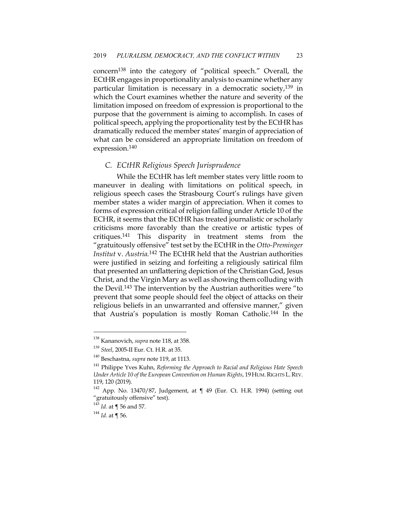concern<sup>138</sup> into the category of "political speech." Overall, the ECtHR engages in proportionality analysis to examine whether any particular limitation is necessary in a democratic society,<sup>139</sup> in which the Court examines whether the nature and severity of the limitation imposed on freedom of expression is proportional to the purpose that the government is aiming to accomplish. In cases of political speech, applying the proportionality test by the ECtHR has dramatically reduced the member states' margin of appreciation of what can be considered an appropriate limitation on freedom of expression.140

#### *C. ECtHR Religious Speech Jurisprudence*

While the ECtHR has left member states very little room to maneuver in dealing with limitations on political speech, in religious speech cases the Strasbourg Court's rulings have given member states a wider margin of appreciation. When it comes to forms of expression critical of religion falling under Article 10 of the ECHR, it seems that the ECtHR has treated journalistic or scholarly criticisms more favorably than the creative or artistic types of critiques.141 This disparity in treatment stems from the "gratuitously offensive" test set by the ECtHR in the *Otto-Preminger Institut* v. *Austria.*<sup>142</sup> The ECtHR held that the Austrian authorities were justified in seizing and forfeiting a religiously satirical film that presented an unflattering depiction of the Christian God, Jesus Christ, and the Virgin Mary as well as showing them colluding with the Devil.143 The intervention by the Austrian authorities were "to prevent that some people should feel the object of attacks on their religious beliefs in an unwarranted and offensive manner," given that Austria's population is mostly Roman Catholic.144 In the

<sup>138</sup> Kananovich, *supra* note 118, at 358.

<sup>139</sup> *Steel*, 2005-II Eur. Ct. H.R. at 35.

<sup>140</sup> Beschastna, *supra* note 119, at 1113.

<sup>141</sup> Philippe Yves Kuhn, *Reforming the Approach to Racial and Religious Hate Speech Under Article 10 of the European Convention on Human Rights*, 19 HUM.RIGHTS L.REV. 119, 120 (2019).

 $142$  App. No. 13470/87, Judgement, at  $\P$  49 (Eur. Ct. H.R. 1994) (setting out "gratuitously offensive" test).

<sup>143</sup> *Id.* at ¶ 56 and 57. 144 *Id.* at ¶ 56.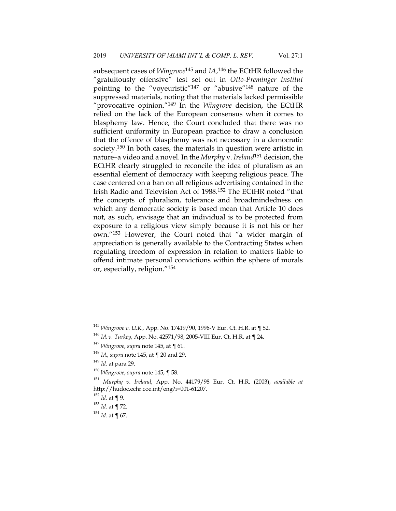subsequent cases of *Wingrove*<sup>145</sup> and *IA*, <sup>146</sup> the ECtHR followed the "gratuitously offensive" test set out in *Otto-Preminger Institut*  pointing to the "voyeuristic"147 or "abusive"148 nature of the suppressed materials, noting that the materials lacked permissible "provocative opinion."149 In the *Wingrove* decision, the ECtHR relied on the lack of the European consensus when it comes to blasphemy law. Hence, the Court concluded that there was no sufficient uniformity in European practice to draw a conclusion that the offence of blasphemy was not necessary in a democratic society.150 In both cases, the materials in question were artistic in nature–a video and a novel. In the *Murphy* v. *Ireland*<sup>151</sup> decision, the ECtHR clearly struggled to reconcile the idea of pluralism as an essential element of democracy with keeping religious peace. The case centered on a ban on all religious advertising contained in the Irish Radio and Television Act of 1988.152 The ECtHR noted "that the concepts of pluralism, tolerance and broadmindedness on which any democratic society is based mean that Article 10 does not, as such, envisage that an individual is to be protected from exposure to a religious view simply because it is not his or her own."153 However, the Court noted that "a wider margin of appreciation is generally available to the Contracting States when regulating freedom of expression in relation to matters liable to offend intimate personal convictions within the sphere of morals or, especially, religion."154

<sup>145</sup> *Wingrove v. U.K.,* App. No. 17419/90, 1996-V Eur. Ct. H.R. at ¶ 52. 146 *IA v. Turkey*, App. No. 42571/98, 2005-VIII Eur. Ct. H.R. at ¶ 24.

<sup>147</sup> *Wingrove*, *supra* note 145, at ¶ 61.

<sup>148</sup> *IA*, *supra* note 145, at ¶ 20 and 29.

<sup>149</sup> *Id.* at para 29. 150 *Wingrove*, *supra* note 145, ¶ 58. 151 *Murphy v. Ireland*, App. No. 44179/98 Eur. Ct. H.R. (2003), *available at* http://hudoc.echr.coe.int/eng?i=001-61207.

 $^{152}$   $Id.$  at  $\P$  9.

<sup>153</sup> *Id.* at ¶ 72.

 $154$  *Id.* at ¶ 67.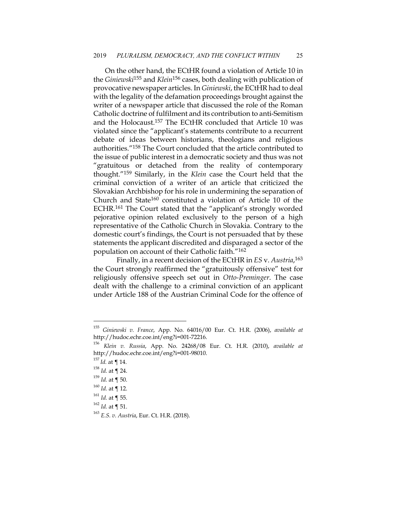On the other hand, the ECtHR found a violation of Article 10 in the *Giniewski*<sup>155</sup> and *Klein*<sup>156</sup> cases, both dealing with publication of provocative newspaper articles. In *Giniewski*, the ECtHR had to deal with the legality of the defamation proceedings brought against the writer of a newspaper article that discussed the role of the Roman Catholic doctrine of fulfilment and its contribution to anti-Semitism and the Holocaust.157 The ECtHR concluded that Article 10 was violated since the "applicant's statements contribute to a recurrent debate of ideas between historians, theologians and religious authorities."158 The Court concluded that the article contributed to the issue of public interest in a democratic society and thus was not "gratuitous or detached from the reality of contemporary thought."159 Similarly, in the *Klein* case the Court held that the criminal conviction of a writer of an article that criticized the Slovakian Archbishop for his role in undermining the separation of Church and State160 constituted a violation of Article 10 of the ECHR.161 The Court stated that the "applicant's strongly worded pejorative opinion related exclusively to the person of a high representative of the Catholic Church in Slovakia. Contrary to the domestic court's findings, the Court is not persuaded that by these statements the applicant discredited and disparaged a sector of the population on account of their Catholic faith."162

Finally, in a recent decision of the ECtHR in *ES* v. *Austria*, 163 the Court strongly reaffirmed the "gratuitously offensive" test for religiously offensive speech set out in *Otto-Preminger*. The case dealt with the challenge to a criminal conviction of an applicant under Article 188 of the Austrian Criminal Code for the offence of

<sup>155</sup> *Giniewski v. France*, App. No. 64016/00 Eur. Ct. H.R. (2006), *available at* http://hudoc.echr.coe.int/eng?i=001-72216.

<sup>156</sup> *Klein v. Russia*, App. No. 24268/08 Eur. Ct. H.R. (2010), *available at* http://hudoc.echr.coe.int/eng?i=001-98010. 157 *Id.* at ¶ 14.

<sup>158</sup> *Id.* at ¶ 24.

<sup>159</sup> *Id.* at ¶ 50.

 $160$  *Id.* at ¶ 12.

 $161$  *Id.* at ¶ 55.

<sup>162</sup> *Id.* at ¶ 51.

<sup>163</sup> *E.S. v. Austria*, Eur. Ct. H.R. (2018).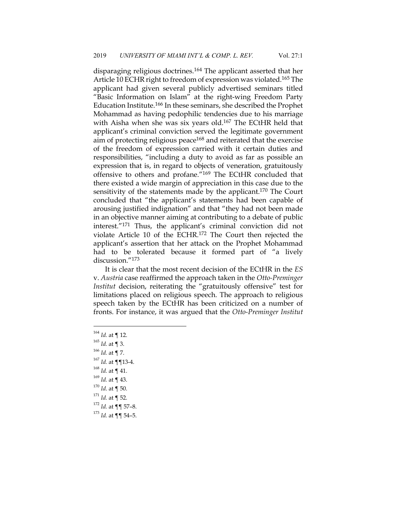disparaging religious doctrines.164 The applicant asserted that her Article 10 ECHR right to freedom of expression was violated.<sup>165</sup> The applicant had given several publicly advertised seminars titled "Basic Information on Islam" at the right-wing Freedom Party Education Institute.166 In these seminars, she described the Prophet Mohammad as having pedophilic tendencies due to his marriage with Aisha when she was six years old.<sup>167</sup> The ECtHR held that applicant's criminal conviction served the legitimate government aim of protecting religious peace<sup>168</sup> and reiterated that the exercise of the freedom of expression carried with it certain duties and responsibilities, "including a duty to avoid as far as possible an expression that is, in regard to objects of veneration, gratuitously offensive to others and profane."169 The ECtHR concluded that there existed a wide margin of appreciation in this case due to the sensitivity of the statements made by the applicant.<sup>170</sup> The Court concluded that "the applicant's statements had been capable of arousing justified indignation" and that "they had not been made in an objective manner aiming at contributing to a debate of public interest."171 Thus, the applicant's criminal conviction did not violate Article 10 of the ECHR.172 The Court then rejected the applicant's assertion that her attack on the Prophet Mohammad had to be tolerated because it formed part of "a lively discussion."173

It is clear that the most recent decision of the ECtHR in the *ES*  v. *Austria* case reaffirmed the approach taken in the *Otto-Preminger Institut* decision, reiterating the "gratuitously offensive" test for limitations placed on religious speech. The approach to religious speech taken by the ECtHR has been criticized on a number of fronts. For instance, it was argued that the *Otto-Preminger Institut*

 $^{164}$  *Id.* at ¶ 12.<br> $^{165}$  *Id.* at ¶ 3. *Id.* at ¶ 7. *Id.* at ¶¶13-4. *Id.* at ¶ 41. *Id.* at ¶ 43. *Id*. at ¶ 50. *Id.* at ¶ 52. *Id.* at  $\P\P$  57-8. *Id.* at ¶¶ 54–5.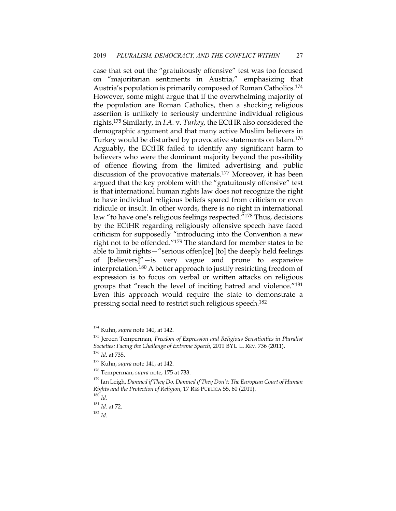case that set out the "gratuitously offensive" test was too focused on "majoritarian sentiments in Austria," emphasizing that Austria's population is primarily composed of Roman Catholics.174 However, some might argue that if the overwhelming majority of the population are Roman Catholics, then a shocking religious assertion is unlikely to seriously undermine individual religious rights.175 Similarly, in *I.A.* v. *Turkey*, the ECtHR also considered the demographic argument and that many active Muslim believers in Turkey would be disturbed by provocative statements on Islam.176 Arguably, the ECtHR failed to identify any significant harm to believers who were the dominant majority beyond the possibility of offence flowing from the limited advertising and public discussion of the provocative materials.177 Moreover, it has been argued that the key problem with the "gratuitously offensive" test is that international human rights law does not recognize the right to have individual religious beliefs spared from criticism or even ridicule or insult. In other words, there is no right in international law "to have one's religious feelings respected."178 Thus, decisions by the ECtHR regarding religiously offensive speech have faced criticism for supposedly "introducing into the Convention a new right not to be offended."179 The standard for member states to be able to limit rights—"serious offen[ce] [to] the deeply held feelings of [believers]"—is very vague and prone to expansive interpretation.180 A better approach to justify restricting freedom of expression is to focus on verbal or written attacks on religious groups that "reach the level of inciting hatred and violence."181 Even this approach would require the state to demonstrate a pressing social need to restrict such religious speech.182

<sup>174</sup> Kuhn, *supra* note 140, at 142.

<sup>175</sup> Jeroen Temperman, *Freedom of Expression and Religious Sensitivities in Pluralist Societies: Facing the Challenge of Extreme Speech*, 2011 BYU L. REV. 736 (2011). 176 *Id*. at 735. 177 Kuhn, *supra* note 141, at 142.

<sup>178</sup> Temperman, *supra* note, 175 at 733.

<sup>179</sup> Ian Leigh, *Damned if They Do, Damned if They Don't: The European Court of Human Rights and the Protection of Religion*, 17 RES PUBLICA 55, 60 (2011).

 $^{180}\,$   $ld.$ 

<sup>181</sup> *Id.* at 72.

<sup>182</sup> *Id.*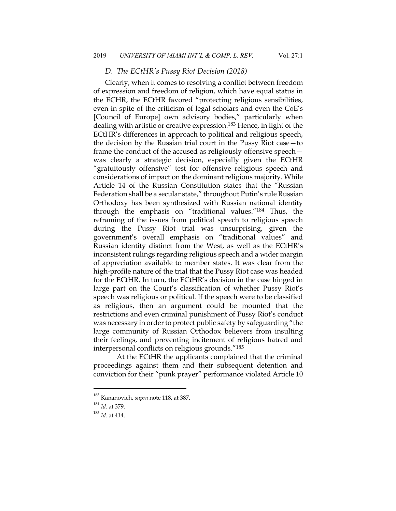#### *D. The ECtHR's Pussy Riot Decision (2018)*

Clearly, when it comes to resolving a conflict between freedom of expression and freedom of religion, which have equal status in the ECHR, the ECtHR favored "protecting religious sensibilities, even in spite of the criticism of legal scholars and even the CoE's [Council of Europe] own advisory bodies," particularly when dealing with artistic or creative expression.<sup>183</sup> Hence, in light of the ECtHR's differences in approach to political and religious speech, the decision by the Russian trial court in the Pussy Riot case—to frame the conduct of the accused as religiously offensive speech was clearly a strategic decision, especially given the ECtHR "gratuitously offensive" test for offensive religious speech and considerations of impact on the dominant religious majority. While Article 14 of the Russian Constitution states that the "Russian Federation shall be a secular state," throughout Putin's rule Russian Orthodoxy has been synthesized with Russian national identity through the emphasis on "traditional values."184 Thus, the reframing of the issues from political speech to religious speech during the Pussy Riot trial was unsurprising, given the government's overall emphasis on "traditional values" and Russian identity distinct from the West, as well as the ECtHR's inconsistent rulings regarding religious speech and a wider margin of appreciation available to member states. It was clear from the high-profile nature of the trial that the Pussy Riot case was headed for the ECtHR. In turn, the ECtHR's decision in the case hinged in large part on the Court's classification of whether Pussy Riot's speech was religious or political. If the speech were to be classified as religious, then an argument could be mounted that the restrictions and even criminal punishment of Pussy Riot's conduct was necessary in order to protect public safety by safeguarding "the large community of Russian Orthodox believers from insulting their feelings, and preventing incitement of religious hatred and interpersonal conflicts on religious grounds."185

At the ECtHR the applicants complained that the criminal proceedings against them and their subsequent detention and conviction for their "punk prayer" performance violated Article 10

<sup>183</sup> Kananovich, *supra* note 118, at 387.

<sup>184</sup> *Id.* at 379.

<sup>185</sup> *Id.* at 414.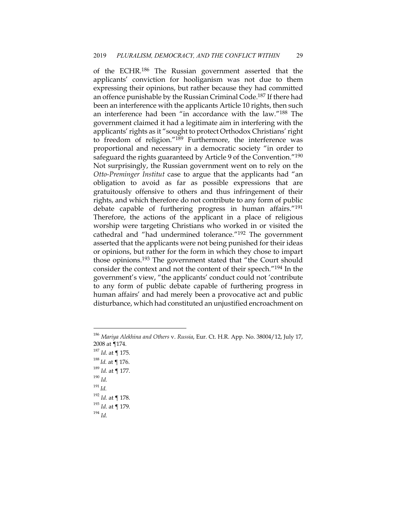of the ECHR.<sup>186</sup> The Russian government asserted that the applicants' conviction for hooliganism was not due to them expressing their opinions, but rather because they had committed an offence punishable by the Russian Criminal Code.187 If there had been an interference with the applicants Article 10 rights, then such an interference had been "in accordance with the law."188 The government claimed it had a legitimate aim in interfering with the applicants' rights as it "sought to protect Orthodox Christians' right to freedom of religion."189 Furthermore, the interference was proportional and necessary in a democratic society "in order to safeguard the rights guaranteed by Article 9 of the Convention."<sup>190</sup> Not surprisingly, the Russian government went on to rely on the *Otto-Preminger Institut* case to argue that the applicants had "an obligation to avoid as far as possible expressions that are gratuitously offensive to others and thus infringement of their rights, and which therefore do not contribute to any form of public debate capable of furthering progress in human affairs."191 Therefore, the actions of the applicant in a place of religious worship were targeting Christians who worked in or visited the cathedral and "had undermined tolerance."192 The government asserted that the applicants were not being punished for their ideas or opinions, but rather for the form in which they chose to impart those opinions.193 The government stated that "the Court should consider the context and not the content of their speech."194 In the government's view, "the applicants' conduct could not 'contribute to any form of public debate capable of furthering progress in human affairs' and had merely been a provocative act and public disturbance, which had constituted an unjustified encroachment on

<sup>187</sup> *Id*. at ¶ 175.

<sup>186</sup> *Mariya Alekhina and Others* v. *Russia*, Eur. Ct. H.R. App. No. 38004/12, July 17, 2008 at ¶174.

<sup>188</sup> *Id.* at ¶ 176.

<sup>189</sup> *Id.* at ¶ 177.

<sup>190</sup> *Id.*

<sup>191</sup> *Id.*

<sup>192</sup> *Id.* at ¶ 178.

<sup>193</sup> *Id*. at ¶ 179.

<sup>194</sup> *Id.*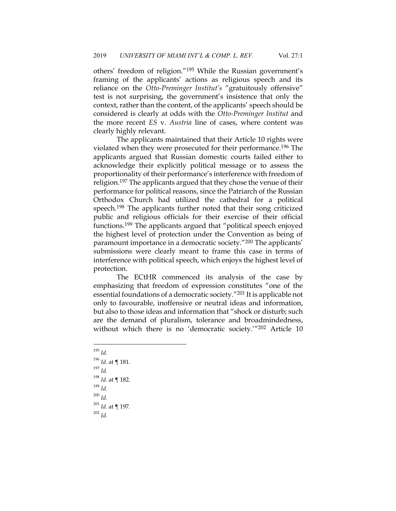others' freedom of religion."195 While the Russian government's framing of the applicants' actions as religious speech and its reliance on the *Otto-Preminger Institut's* "gratuitously offensive" test is not surprising, the government's insistence that only the context, rather than the content, of the applicants' speech should be considered is clearly at odds with the *Otto-Preminger Institut* and the more recent *ES* v. *Austria* line of cases, where content was clearly highly relevant.

The applicants maintained that their Article 10 rights were violated when they were prosecuted for their performance.196 The applicants argued that Russian domestic courts failed either to acknowledge their explicitly political message or to assess the proportionality of their performance's interference with freedom of religion.<sup>197</sup> The applicants argued that they chose the venue of their performance for political reasons, since the Patriarch of the Russian Orthodox Church had utilized the cathedral for a political speech.198 The applicants further noted that their song criticized public and religious officials for their exercise of their official functions.199 The applicants argued that "political speech enjoyed the highest level of protection under the Convention as being of paramount importance in a democratic society."200 The applicants' submissions were clearly meant to frame this case in terms of interference with political speech, which enjoys the highest level of protection.

The ECtHR commenced its analysis of the case by emphasizing that freedom of expression constitutes "one of the essential foundations of a democratic society."201 It is applicable not only to favourable, inoffensive or neutral ideas and information, but also to those ideas and information that "shock or disturb; such are the demand of pluralism, tolerance and broadmindedness, without which there is no 'democratic society.'"202 Article 10

<sup>195</sup> *Id.* <sup>196</sup> *Id.* at ¶ 181.  $^{197}$  *Id.* <sup>198</sup> *Id.* at ¶ 182. <sup>199</sup> *Id.* <sup>200</sup> *Id.* <sup>201</sup> *Id.* at ¶ 197. <sup>202</sup> *Id.*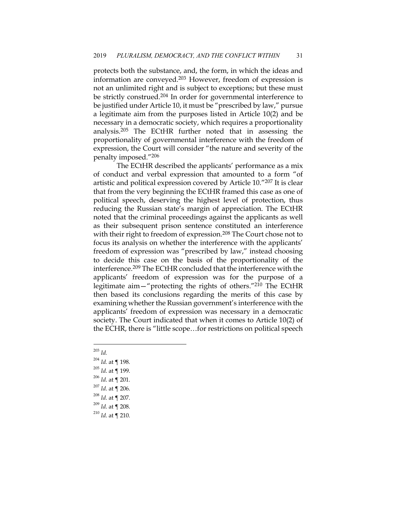protects both the substance, and, the form, in which the ideas and information are conveyed.203 However, freedom of expression is not an unlimited right and is subject to exceptions; but these must be strictly construed.204 In order for governmental interference to be justified under Article 10, it must be "prescribed by law," pursue a legitimate aim from the purposes listed in Article 10(2) and be necessary in a democratic society, which requires a proportionality analysis.205 The ECtHR further noted that in assessing the proportionality of governmental interference with the freedom of expression, the Court will consider "the nature and severity of the penalty imposed."206

The ECtHR described the applicants' performance as a mix of conduct and verbal expression that amounted to a form "of artistic and political expression covered by Article 10."207 It is clear that from the very beginning the ECtHR framed this case as one of political speech, deserving the highest level of protection, thus reducing the Russian state's margin of appreciation. The ECtHR noted that the criminal proceedings against the applicants as well as their subsequent prison sentence constituted an interference with their right to freedom of expression.<sup>208</sup> The Court chose not to focus its analysis on whether the interference with the applicants' freedom of expression was "prescribed by law," instead choosing to decide this case on the basis of the proportionality of the interference.<sup>209</sup> The ECtHR concluded that the interference with the applicants' freedom of expression was for the purpose of a legitimate aim—"protecting the rights of others."210 The ECtHR then based its conclusions regarding the merits of this case by examining whether the Russian government's interference with the applicants' freedom of expression was necessary in a democratic society. The Court indicated that when it comes to Article 10(2) of the ECHR, there is "little scope…for restrictions on political speech

- <sup>203</sup> *Id.*
- <sup>204</sup> *Id.* at ¶ 198.
- <sup>205</sup> *Id*. at ¶ 199.
- <sup>206</sup> *Id*. at ¶ 201.
- <sup>207</sup> *Id*. at ¶ 206.
- <sup>208</sup> *Id*. at ¶ 207.
- <sup>209</sup> *Id*. at ¶ 208.
- <sup>210</sup> *Id*. at ¶ 210.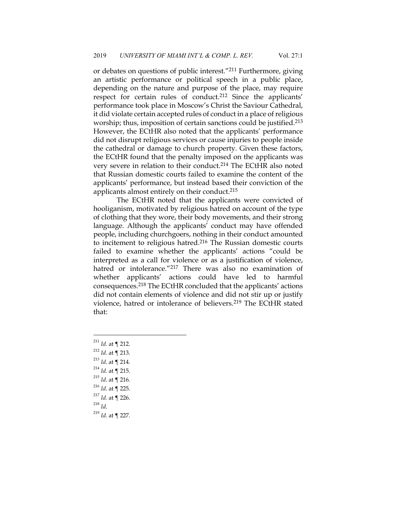or debates on questions of public interest."211 Furthermore, giving an artistic performance or political speech in a public place, depending on the nature and purpose of the place, may require respect for certain rules of conduct.212 Since the applicants' performance took place in Moscow's Christ the Saviour Cathedral, it did violate certain accepted rules of conduct in a place of religious worship; thus, imposition of certain sanctions could be justified.<sup>213</sup> However, the ECtHR also noted that the applicants' performance did not disrupt religious services or cause injuries to people inside the cathedral or damage to church property. Given these factors, the ECtHR found that the penalty imposed on the applicants was very severe in relation to their conduct.214 The ECtHR also noted that Russian domestic courts failed to examine the content of the applicants' performance, but instead based their conviction of the applicants almost entirely on their conduct.215

The ECtHR noted that the applicants were convicted of hooliganism, motivated by religious hatred on account of the type of clothing that they wore, their body movements, and their strong language. Although the applicants' conduct may have offended people, including churchgoers, nothing in their conduct amounted to incitement to religious hatred.216 The Russian domestic courts failed to examine whether the applicants' actions "could be interpreted as a call for violence or as a justification of violence, hatred or intolerance."<sup>217</sup> There was also no examination of whether applicants' actions could have led to harmful consequences.218 The ECtHR concluded that the applicants' actions did not contain elements of violence and did not stir up or justify violence, hatred or intolerance of believers.219 The ECtHR stated that:

 *Id*. at ¶ 212. *Id*. at ¶ 213. *Id*. at ¶ 214. *Id*. at ¶ 215. *Id*. at ¶ 216. *Id*. at ¶ 225. *Id*. at ¶ 226. <sup>218</sup> *Id*. *Id*. at ¶ 227.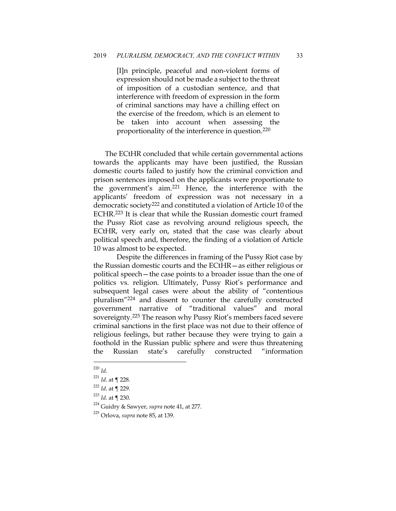[I]n principle, peaceful and non-violent forms of expression should not be made a subject to the threat of imposition of a custodian sentence, and that interference with freedom of expression in the form of criminal sanctions may have a chilling effect on the exercise of the freedom, which is an element to be taken into account when assessing the proportionality of the interference in question.220

The ECtHR concluded that while certain governmental actions towards the applicants may have been justified, the Russian domestic courts failed to justify how the criminal conviction and prison sentences imposed on the applicants were proportionate to the government's aim.221 Hence, the interference with the applicants' freedom of expression was not necessary in a democratic society<sup>222</sup> and constituted a violation of Article 10 of the ECHR.223 It is clear that while the Russian domestic court framed the Pussy Riot case as revolving around religious speech, the ECtHR, very early on, stated that the case was clearly about political speech and, therefore, the finding of a violation of Article 10 was almost to be expected.

Despite the differences in framing of the Pussy Riot case by the Russian domestic courts and the ECtHR—as either religious or political speech—the case points to a broader issue than the one of politics vs. religion. Ultimately, Pussy Riot's performance and subsequent legal cases were about the ability of "contentious pluralism"224 and dissent to counter the carefully constructed government narrative of "traditional values" and moral sovereignty.225 The reason why Pussy Riot's members faced severe criminal sanctions in the first place was not due to their offence of religious feelings, but rather because they were trying to gain a foothold in the Russian public sphere and were thus threatening the Russian state's carefully constructed "information

<sup>220</sup> *Id*.

<sup>221</sup> *Id*. at ¶ 228.

<sup>222</sup> *Id*. at ¶ 229.

<sup>223</sup> *Id*. at ¶ 230.

<sup>224</sup> Guidry & Sawyer, *supra* note 41, at 277.

<sup>225</sup> Orlova, *supra* note 85, at 139.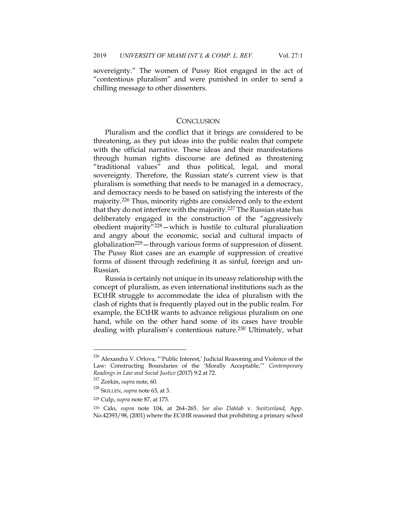sovereignty." The women of Pussy Riot engaged in the act of "contentious pluralism" and were punished in order to send a chilling message to other dissenters.

### **CONCLUSION**

Pluralism and the conflict that it brings are considered to be threatening, as they put ideas into the public realm that compete with the official narrative. These ideas and their manifestations through human rights discourse are defined as threatening "traditional values" and thus political, legal, and moral sovereignty. Therefore, the Russian state's current view is that pluralism is something that needs to be managed in a democracy, and democracy needs to be based on satisfying the interests of the majority.226 Thus, minority rights are considered only to the extent that they do not interfere with the majority.<sup>227</sup> The Russian state has deliberately engaged in the construction of the "aggressively obedient majority"228—which is hostile to cultural pluralization and angry about the economic, social and cultural impacts of globalization229—through various forms of suppression of dissent. The Pussy Riot cases are an example of suppression of creative forms of dissent through redefining it as sinful, foreign and un-Russian.

Russia is certainly not unique in its uneasy relationship with the concept of pluralism, as even international institutions such as the ECtHR struggle to accommodate the idea of pluralism with the clash of rights that is frequently played out in the public realm. For example, the ECtHR wants to advance religious pluralism on one hand, while on the other hand some of its cases have trouble dealing with pluralism's contentious nature.230 Ultimately, what

 $^{226}$ Alexandra V. Orlova, "'Public Interest,' Judicial Reasoning and Violence of the Law: Constructing Boundaries of the 'Morally Acceptable,'" *Contemporary Readings in Law and Social Justice* (2017) 9:2 at 72.

<sup>227</sup> Zorkin, *supra* note, 60.

<sup>228</sup> SKILLEN, *supra* note 63, at 3.

<sup>229</sup> Culp, *supra* note 87, at 173.

<sup>230</sup> Calo, *supra* note 104, at 264–265. *See also Dahlab* v. *Switzerland*, App. No.42393/98, (2001) where the ECtHR reasoned that prohibiting a primary school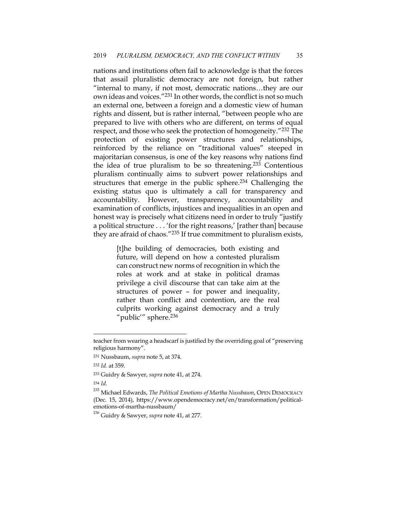nations and institutions often fail to acknowledge is that the forces that assail pluralistic democracy are not foreign, but rather "internal to many, if not most, democratic nations…they are our own ideas and voices."231 In other words, the conflict is not so much an external one, between a foreign and a domestic view of human rights and dissent, but is rather internal, "between people who are prepared to live with others who are different, on terms of equal respect, and those who seek the protection of homogeneity."232 The protection of existing power structures and relationships, reinforced by the reliance on "traditional values" steeped in majoritarian consensus, is one of the key reasons why nations find the idea of true pluralism to be so threatening.<sup>233</sup> Contentious pluralism continually aims to subvert power relationships and structures that emerge in the public sphere.<sup>234</sup> Challenging the existing status quo is ultimately a call for transparency and accountability. However, transparency, accountability and examination of conflicts, injustices and inequalities in an open and honest way is precisely what citizens need in order to truly "justify a political structure . . . 'for the right reasons,' [rather than] because they are afraid of chaos."235 If true commitment to pluralism exists,

> [t]he building of democracies, both existing and future, will depend on how a contested pluralism can construct new norms of recognition in which the roles at work and at stake in political dramas privilege a civil discourse that can take aim at the structures of power – for power and inequality, rather than conflict and contention, are the real culprits working against democracy and a truly "public'" sphere.<sup>236</sup>

<sup>234</sup> *Id.*

teacher from wearing a headscarf is justified by the overriding goal of "preserving religious harmony".

<sup>231</sup> Nussbaum, *supra* note 5, at 374.

<sup>232</sup> *Id.* at 359.

<sup>233</sup> Guidry & Sawyer, *supra* note 41, at 274.

<sup>235</sup> Michael Edwards, *The Political Emotions of Martha Nussbaum*, OPEN DEMOCRACY (Dec. 15, 2014), https://www.opendemocracy.net/en/transformation/politicalemotions-of-martha-nussbaum/

<sup>236</sup> Guidry & Sawyer, *supra* note 41, at 277.